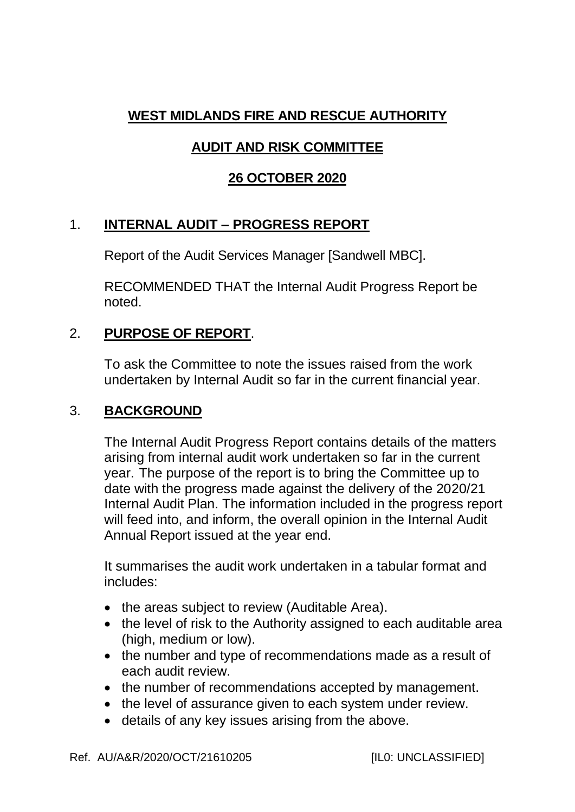# **WEST MIDLANDS FIRE AND RESCUE AUTHORITY**

# **AUDIT AND RISK COMMITTEE**

### **26 OCTOBER 2020**

# 1. **INTERNAL AUDIT – PROGRESS REPORT**

Report of the Audit Services Manager [Sandwell MBC].

RECOMMENDED THAT the Internal Audit Progress Report be noted.

### 2. **PURPOSE OF REPORT**.

To ask the Committee to note the issues raised from the work undertaken by Internal Audit so far in the current financial year.

#### 3. **BACKGROUND**

The Internal Audit Progress Report contains details of the matters arising from internal audit work undertaken so far in the current year. The purpose of the report is to bring the Committee up to date with the progress made against the delivery of the 2020/21 Internal Audit Plan. The information included in the progress report will feed into, and inform, the overall opinion in the Internal Audit Annual Report issued at the year end.

It summarises the audit work undertaken in a tabular format and includes:

- the areas subject to review (Auditable Area).
- the level of risk to the Authority assigned to each auditable area (high, medium or low).
- the number and type of recommendations made as a result of each audit review.
- the number of recommendations accepted by management.
- the level of assurance given to each system under review.
- details of any key issues arising from the above.